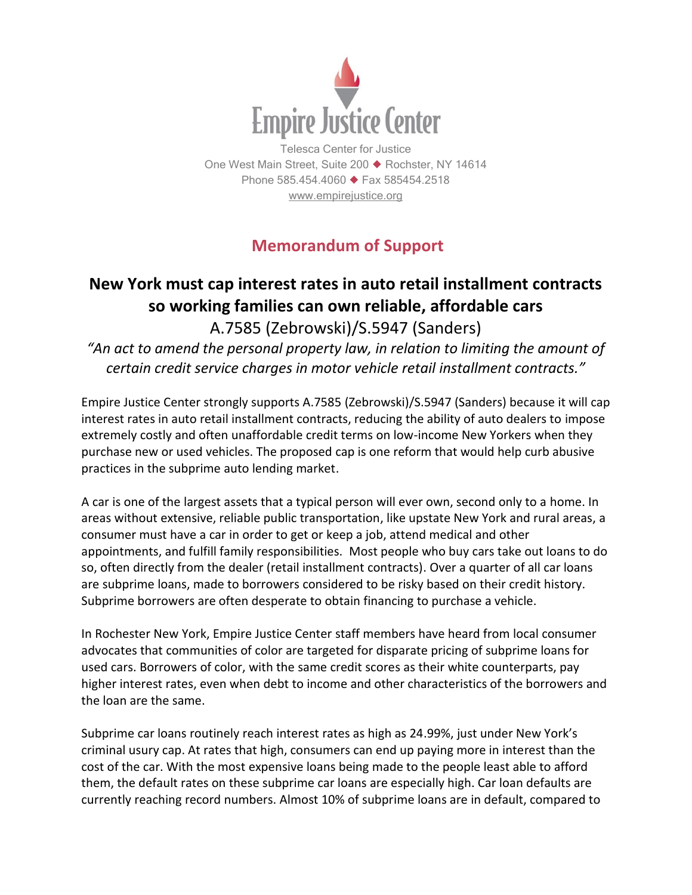

Telesca Center for Justice One West Main Street, Suite 200 ♦ Rochster, NY 14614 Phone 585.454.4060 ♦ Fax 585454.2518 [www.empirejustice.org](http://www.empirejustice.org/)

## **Memorandum of Support**

## **New York must cap interest rates in auto retail installment contracts so working families can own reliable, affordable cars** A.7585 (Zebrowski)/S.5947 (Sanders)

*"An act to amend the personal property law, in relation to limiting the amount of certain credit service charges in motor vehicle retail installment contracts."*

Empire Justice Center strongly supports A.7585 (Zebrowski)/S.5947 (Sanders) because it will cap interest rates in auto retail installment contracts, reducing the ability of auto dealers to impose extremely costly and often unaffordable credit terms on low-income New Yorkers when they purchase new or used vehicles. The proposed cap is one reform that would help curb abusive practices in the subprime auto lending market.

A car is one of the largest assets that a typical person will ever own, second only to a home. In areas without extensive, reliable public transportation, like upstate New York and rural areas, a consumer must have a car in order to get or keep a job, attend medical and other appointments, and fulfill family responsibilities. Most people who buy cars take out loans to do so, often directly from the dealer (retail installment contracts). Over a quarter of all car loans are subprime loans, made to borrowers considered to be risky based on their credit history. Subprime borrowers are often desperate to obtain financing to purchase a vehicle.

In Rochester New York, Empire Justice Center staff members have heard from local consumer advocates that communities of color are targeted for disparate pricing of subprime loans for used cars. Borrowers of color, with the same credit scores as their white counterparts, pay higher interest rates, even when debt to income and other characteristics of the borrowers and the loan are the same.

Subprime car loans routinely reach interest rates as high as 24.99%, just under New York's criminal usury cap. At rates that high, consumers can end up paying more in interest than the cost of the car. With the most expensive loans being made to the people least able to afford them, the default rates on these subprime car loans are especially high. Car loan defaults are currently reaching record numbers. Almost 10% of subprime loans are in default, compared to